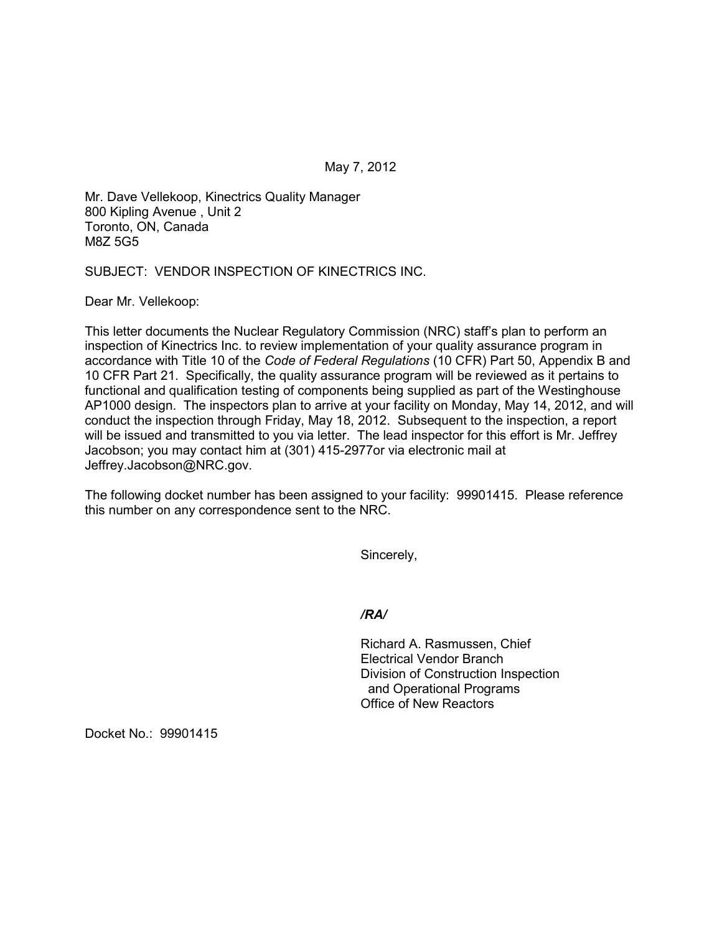May 7, 2012

Mr. Dave Vellekoop, Kinectrics Quality Manager 800 Kipling Avenue , Unit 2 Toronto, ON, Canada M8Z 5G5

SUBJECT: VENDOR INSPECTION OF KINECTRICS INC.

Dear Mr. Vellekoop:

This letter documents the Nuclear Regulatory Commission (NRC) staff's plan to perform an inspection of Kinectrics Inc. to review implementation of your quality assurance program in accordance with Title 10 of the *Code of Federal Regulations* (10 CFR) Part 50, Appendix B and 10 CFR Part 21. Specifically, the quality assurance program will be reviewed as it pertains to functional and qualification testing of components being supplied as part of the Westinghouse AP1000 design. The inspectors plan to arrive at your facility on Monday, May 14, 2012, and will conduct the inspection through Friday, May 18, 2012. Subsequent to the inspection, a report will be issued and transmitted to you via letter. The lead inspector for this effort is Mr. Jeffrey Jacobson; you may contact him at (301) 415-2977or via electronic mail at Jeffrey.Jacobson@NRC.gov.

The following docket number has been assigned to your facility: 99901415. Please reference this number on any correspondence sent to the NRC.

Sincerely,

*/RA/* 

Richard A. Rasmussen, Chief Electrical Vendor Branch Division of Construction Inspection and Operational Programs Office of New Reactors

Docket No.: 99901415